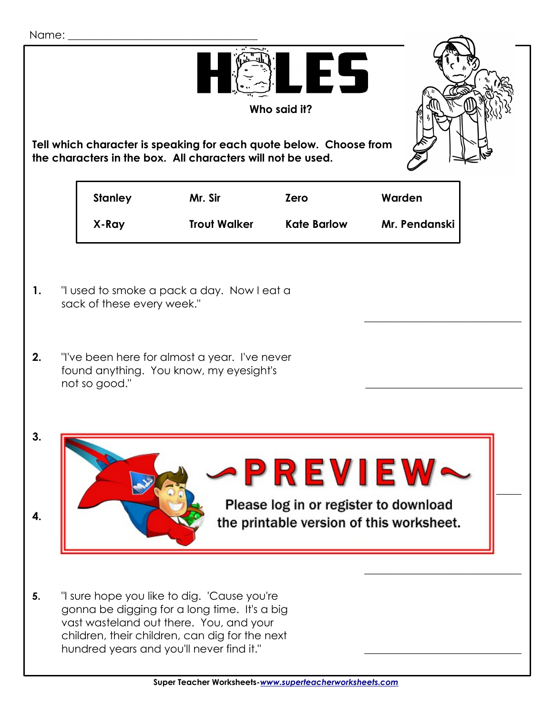| Name:                                                                                                                                                   |                                                                                                                                                                                       |                                                                                   |                                                                                                                                                                                                                                      |                    |               |  |
|---------------------------------------------------------------------------------------------------------------------------------------------------------|---------------------------------------------------------------------------------------------------------------------------------------------------------------------------------------|-----------------------------------------------------------------------------------|--------------------------------------------------------------------------------------------------------------------------------------------------------------------------------------------------------------------------------------|--------------------|---------------|--|
| FS<br>Who said it?<br>Tell which character is speaking for each quote below. Choose from<br>the characters in the box. All characters will not be used. |                                                                                                                                                                                       |                                                                                   |                                                                                                                                                                                                                                      |                    |               |  |
|                                                                                                                                                         |                                                                                                                                                                                       | <b>Stanley</b>                                                                    | Mr. Sir                                                                                                                                                                                                                              | <b>Zero</b>        | Warden        |  |
|                                                                                                                                                         |                                                                                                                                                                                       | X-Ray                                                                             | <b>Trout Walker</b>                                                                                                                                                                                                                  | <b>Kate Barlow</b> | Mr. Pendanski |  |
| 1.<br>2.                                                                                                                                                | "I used to smoke a pack a day. Now I eat a<br>sack of these every week."<br>"I've been here for almost a year. I've never<br>found anything. You know, my eyesight's<br>not so good." |                                                                                   |                                                                                                                                                                                                                                      |                    |               |  |
| ა.                                                                                                                                                      |                                                                                                                                                                                       |                                                                                   |                                                                                                                                                                                                                                      | -PREVIEW           |               |  |
| 4.                                                                                                                                                      |                                                                                                                                                                                       | Please log in or register to download<br>the printable version of this worksheet. |                                                                                                                                                                                                                                      |                    |               |  |
| 5.                                                                                                                                                      |                                                                                                                                                                                       |                                                                                   | "I sure hope you like to dig. 'Cause you're<br>gonna be digging for a long time. It's a big<br>vast wasteland out there. You, and your<br>children, their children, can dig for the next<br>hundred years and you'll never find it." |                    |               |  |